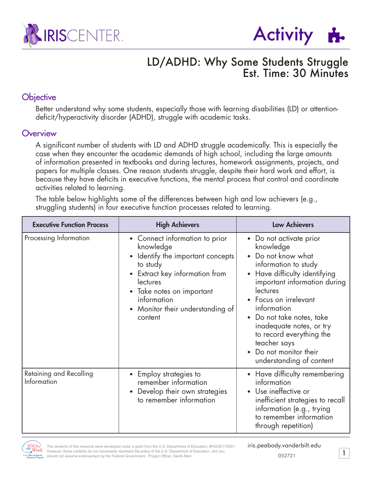



## LD/ADHD: Why Some Students Struggle Est. Time: 30 Minutes

### **Objective**

Better understand why some students, especially those with learning disabilities (LD) or attentiondeficit/hyperactivity disorder (ADHD), struggle with academic tasks.

#### **Overview**

A significant number of students with LD and ADHD struggle academically. This is especially the case when they encounter the academic demands of high school, including the large amounts of information presented in textbooks and during lectures, homework assignments, projects, and papers for multiple classes. One reason students struggle, despite their hard work and effort, is because they have deficits in executive functions, the mental process that control and coordinate activities related to learning.

The table below highlights some of the differences between high and low achievers (e.g., struggling students) in four executive function processes related to learning.

| <b>Executive Function Process</b>      | <b>High Achievers</b>                                                                                                                                                                                                                 | <b>Low Achievers</b>                                                                                                                                                                                                                                                                                                                                                                            |
|----------------------------------------|---------------------------------------------------------------------------------------------------------------------------------------------------------------------------------------------------------------------------------------|-------------------------------------------------------------------------------------------------------------------------------------------------------------------------------------------------------------------------------------------------------------------------------------------------------------------------------------------------------------------------------------------------|
| Processing Information                 | • Connect information to prior<br>knowledge<br>• Identify the important concepts<br>to study<br>• Extract key information from<br>lectures<br>• Take notes on important<br>information<br>• Monitor their understanding of<br>content | • Do not activate prior<br>knowledge<br>Do not know what<br>$\bullet$<br>information to study<br>Have difficulty identifying<br>$\bullet$<br>important information during<br>lectures<br>Focus on irrelevant<br>information<br>Do not take notes, take<br>$\bullet$<br>inadequate notes, or try<br>to record everything the<br>teacher says<br>Do not monitor their<br>understanding of content |
| Retaining and Recalling<br>Information | • Employ strategies to<br>remember information<br>Develop their own strategies<br>$\bullet$<br>to remember information                                                                                                                | • Have difficulty remembering<br>information<br>Use ineffective or<br>inefficient strategies to recall<br>information (e.g., trying<br>to remember information<br>through repetition)                                                                                                                                                                                                           |

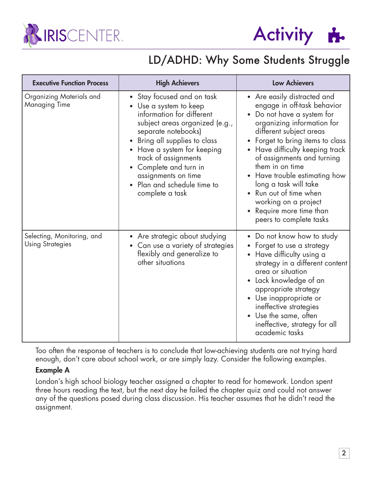



# LD/ADHD: Why Some Students Struggle

| <b>Executive Function Process</b>                     | <b>High Achievers</b>                                                                                                                                                                                                                                                                                                                      | <b>Low Achievers</b>                                                                                                                                                                                                                                                                                                                                                                                                               |
|-------------------------------------------------------|--------------------------------------------------------------------------------------------------------------------------------------------------------------------------------------------------------------------------------------------------------------------------------------------------------------------------------------------|------------------------------------------------------------------------------------------------------------------------------------------------------------------------------------------------------------------------------------------------------------------------------------------------------------------------------------------------------------------------------------------------------------------------------------|
| Organizing Materials and<br>Managing Time             | Stay focused and on task<br>• Use a system to keep<br>information for different<br>subject areas organized (e.g.,<br>separate notebooks)<br>Bring all supplies to class<br>$\bullet$<br>• Have a system for keeping<br>track of assignments<br>Complete and turn in<br>assignments on time<br>Plan and schedule time to<br>complete a task | • Are easily distracted and<br>engage in off-task behavior<br>Do not have a system for<br>organizing information for<br>different subject areas<br>Forget to bring items to class<br>Have difficulty keeping track<br>of assignments and turning<br>them in on time<br>• Have trouble estimating how<br>long a task will take<br>Run out of time when<br>working on a project<br>Require more time than<br>peers to complete tasks |
| Selecting, Monitoring, and<br><b>Using Strategies</b> | • Are strategic about studying<br>Can use a variety of strategies<br>$\bullet$<br>flexibly and generalize to<br>other situations                                                                                                                                                                                                           | • Do not know how to study<br>Forget to use a strategy<br>Have difficulty using a<br>strategy in a different content<br>area or situation<br>• Lack knowledge of an<br>appropriate strategy<br>• Use inappropriate or<br>ineffective strategies<br>• Use the same, often<br>ineffective, strategy for all<br>academic tasks                                                                                                        |

Too often the response of teachers is to conclude that low-achieving students are not trying hard enough, don't care about school work, or are simply lazy. Consider the following examples.

#### Example A

London's high school biology teacher assigned a chapter to read for homework. London spent three hours reading the text, but the next day he failed the chapter quiz and could not answer any of the questions posed during class discussion. His teacher assumes that he didn't read the assignment.